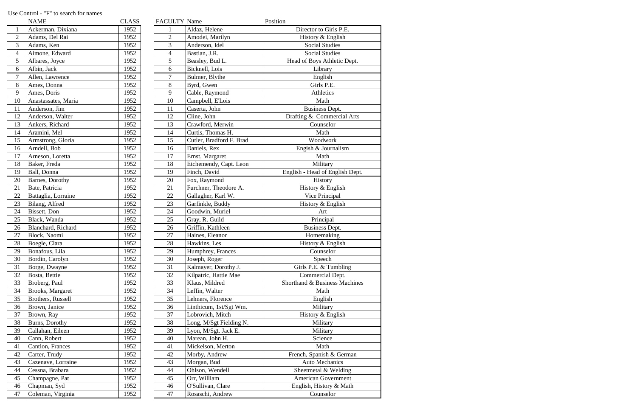|                 | <b>NAME</b>         | <b>CLASS</b> | FACULTY Name   |                          | Position |
|-----------------|---------------------|--------------|----------------|--------------------------|----------|
|                 | Ackerman, Dixiana   | 1952         |                | Aldaz, Helene            |          |
| $\overline{2}$  | Adams, Del Rai      | 1952         | $\overline{2}$ | Amodei, Marilyn          |          |
| 3               | Adams, Ken          | 1952         | 3              | Anderson, Idel           |          |
| $\overline{4}$  | Aimone, Edward      | 1952         | $\overline{4}$ | Bastian, J.R.            |          |
| 5               | Albares, Joyce      | 1952         | 5              | Beasley, Bud L.          |          |
| 6               | Albin, Jack         | 1952         | 6              | Bicknell, Lois           |          |
| $\tau$          | Allen, Lawrence     | 1952         | $\overline{7}$ | Bulmer, Blythe           |          |
| 8               | Ames, Donna         | 1952         | 8              | Byrd, Gwen               |          |
| 9               | Ames, Doris         | 1952         | 9              | Cable, Raymond           |          |
| 10              | Anastassates, Maria | 1952         | 10             | Campbell, E'Lois         |          |
| 11              | Anderson, Jim       | 1952         | 11             | Caserta, John            |          |
| 12              | Anderson, Walter    | 1952         | 12             | Cline, John              |          |
| 13              | Ankers, Richard     | 1952         | 13             | Crawford, Merwin         |          |
| 14              | Aramini, Mel        | 1952         | 14             | Curtis, Thomas H.        |          |
| 15              | Armstrong, Gloria   | 1952         | 15             | Cutler, Bradford F. Brad |          |
| 16              | Arndell, Bob        | 1952         | 16             | Daniels, Rex             |          |
| 17              | Arneson, Loretta    | 1952         | 17             | Ernst, Margaret          |          |
| 18              | Baker, Freda        | 1952         | 18             | Etchemendy, Capt. Leon   |          |
| 19              | Ball, Donna         | 1952         | 19             | Finch, David             | E        |
| 20              | Barnes, Dorothy     | 1952         | 20             | Fox, Raymond             |          |
| 21              | Bate, Patricia      | 1952         | 21             | Furchner, Theodore A.    |          |
| 22              | Battaglia, Lorraine | 1952         | 22             | Gallagher, Karl W.       |          |
| 23              | Bilang, Alfred      | 1952         | 23             | Garfinkle, Buddy         |          |
| 24              | Bissett, Don        | 1952         | 24             | Goodwin, Muriel          |          |
| 25              | Black, Wanda        | 1952         | 25             | Gray, R. Guild           |          |
| 26              | Blanchard, Richard  | 1952         | 26             | Griffin, Kathleen        |          |
| 27              | Block, Naomi        | 1952         | 27             | Haines, Eleanor          |          |
| 28              | Boegle, Clara       | 1952         | 28             | Hawkins, Les             |          |
| 29              | Bonafous, Lila      | 1952         | 29             | Humphrey, Frances        |          |
| 30              | Bordin, Carolyn     | 1952         | 30             | Joseph, Roger            |          |
| 31              | Borge, Dwayne       | 1952         | 31             | Kalmayer, Dorothy J.     |          |
| 32              | Bosta, Bettie       | 1952         | 32             | Kilpatric, Hattie Mae    |          |
| 33              | Broberg, Paul       | 1952         | 33             | Klaus, Mildred           | S        |
| 34              | Brooks, Margaret    | 1952         | 34             | Leffin, Walter           |          |
| 35              | Brothers, Russell   | 1952         | 35             | Lehners, Florence        |          |
| 36              | Brown, Janice       | 1952         | 36             | Linthicum, 1st/Sgt Wm.   |          |
| 37              | Brown, Ray          | 1952         | 37             | Lobrovich, Mitch         |          |
| 38              | Burns, Dorothy      | 1952         | 38             | Long, M/Sgt Fielding N.  |          |
| 39              | Callahan, Eileen    | 1952         | 39             | Lyon, M/Sgt. Jack E.     |          |
| 40              | Cann, Robert        | 1952         | 40             | Marean, John H.          |          |
| 41              | Cantlon, Frances    | 1952         | 41             | Mickelson, Merton        |          |
| 42              | Carter, Trudy       | 1952         | 42             | Morby, Andrew            |          |
| 43              | Cazenave, Lorraine  | 1952         | 43             | Morgan, Bud              |          |
| 44              | Cessna, Brabara     | 1952         | 44             | Ohlson, Wendell          |          |
| 45              | Champagne, Pat      | 1952         | 45             | Orr, William             |          |
| 46              | Chapman, Syd        | 1952         | 46             | O'Sullivan, Clare        |          |
| $\overline{A}7$ | Coleman Virginia    | 1952         | $\Delta$ 7     | Rosaschi Andrew          |          |

|                | NAME                    | <b>CLASS</b> | <b>FACULTY</b> Name |                          | Position                        |
|----------------|-------------------------|--------------|---------------------|--------------------------|---------------------------------|
|                | Ackerman, Dixiana       | 1952         |                     | Aldaz, Helene            | Director to Girls P.E.          |
| $\overline{2}$ | Adams, Del Rai          | 1952         | $\overline{2}$      | Amodei, Marilyn          | History & English               |
| 3              | Adams, Ken              | 1952         | 3                   | Anderson, Idel           | <b>Social Studies</b>           |
| $\overline{4}$ | Aimone, Edward          | 1952         | $\overline{4}$      | Bastian, J.R.            | <b>Social Studies</b>           |
| 5              | Albares, Joyce          | 1952         | 5                   | Beasley, Bud L.          | Head of Boys Athletic Dept.     |
| 6              | Albin, Jack             | 1952         | 6                   | Bicknell, Lois           | Library                         |
| 7              | Allen, Lawrence         | 1952         | 7                   | Bulmer, Blythe           | English                         |
| 8              | Ames, Donna             | 1952         | 8                   | Byrd, Gwen               | Girls P.E.                      |
| 9              | Ames, Doris             | 1952         | 9                   | Cable, Raymond           | Athletics                       |
| 10             | Anastassates, Maria     | 1952         | 10                  | Campbell, E'Lois         | Math                            |
| 11             | Anderson, Jim           | 1952         | 11                  | Caserta, John            | <b>Business Dept.</b>           |
|                |                         |              |                     |                          |                                 |
| 12             | Anderson, Walter        | 1952         | 12                  | Cline, John              | Drafting & Commercial Arts      |
| 13             | Ankers, Richard         | 1952         | 13                  | Crawford, Merwin         | Counselor                       |
| 14             | Aramini, Mel            | 1952         | 14                  | Curtis, Thomas H.        | Math                            |
| 15             | Armstrong, Gloria       | 1952         | 15                  | Cutler, Bradford F. Brad | Woodwork                        |
| 16             | Arndell, Bob            | 1952         | 16                  | Daniels, Rex             | Engish & Journalism             |
| 17             | Arneson, Loretta        | 1952         | 17                  | Ernst, Margaret          | Math                            |
| 18             | Baker, Freda            | 1952         | 18                  | Etchemendy, Capt. Leon   | Military                        |
| 19             | Ball, Donna             | 1952         | 19                  | Finch, David             | English - Head of English Dept. |
| 20             | Barnes, Dorothy         | 1952         | 20                  | Fox, Raymond             | History                         |
| 21             | Bate, Patricia          | 1952         | 21                  | Furchner, Theodore A.    | History & English               |
| 22             | Battaglia, Lorraine     | 1952         | 22                  | Gallagher, Karl W.       | Vice Principal                  |
| 23             | Bilang, Alfred          | 1952         | 23                  | Garfinkle, Buddy         | History & English               |
| 24             | Bissett, Don            | 1952         | 24                  | Goodwin, Muriel          | Art                             |
| 25             | Black, Wanda            | 1952         | 25                  | Gray, R. Guild           | Principal                       |
| 26             | Blanchard, Richard      | 1952         | 26                  | Griffin, Kathleen        | <b>Business Dept.</b>           |
| $27\,$         | Block, Naomi            | 1952         | 27                  | Haines, Eleanor          | Homemaking                      |
| 28             | Boegle, Clara           | 1952         | 28                  | Hawkins, Les             | History & English               |
| 29             | Bonafous, Lila          | 1952         | 29                  |                          |                                 |
| 30             |                         | 1952         | 30                  | Humphrey, Frances        | Counselor                       |
|                | Bordin, Carolyn         |              |                     | Joseph, Roger            | Speech                          |
| 31             | Borge, Dwayne           | 1952         | 31                  | Kalmayer, Dorothy J.     | Girls P.E. & Tumbling           |
| 32             | Bosta, Bettie           | 1952         | 32                  | Kilpatric, Hattie Mae    | Commercial Dept.                |
| 33             | Broberg, Paul           | 1952         | 33                  | Klaus, Mildred           | Shorthand & Business Machines   |
| 34             | <b>Brooks, Margaret</b> | 1952         | 34                  | Leffin, Walter           | Math                            |
| 35             | Brothers, Russell       | 1952         | 35                  | Lehners, Florence        | English                         |
| 36             | Brown, Janice           | 1952         | 36                  | Linthicum, 1st/Sgt Wm.   | Military                        |
| 37             | Brown, Ray              | 1952         | 37                  | Lobrovich, Mitch         | History & English               |
| 38             | Burns, Dorothy          | 1952         | 38                  | Long, M/Sgt Fielding N.  | Military                        |
| 39             | Callahan, Eileen        | 1952         | 39                  | Lyon, M/Sgt. Jack E.     | Military                        |
| 40             | Cann, Robert            | 1952         | 40                  | Marean, John H.          | Science                         |
| 41             | Cantlon, Frances        | 1952         | 41                  | Mickelson, Merton        | Math                            |
| 42             | Carter, Trudy           | 1952         | 42                  | Morby, Andrew            | French, Spanish & German        |
| 43             | Cazenave, Lorraine      | 1952         | 43                  | Morgan, Bud              | <b>Auto Mechanics</b>           |
| 44             | Cessna, Brabara         | 1952         | 44                  | Ohlson, Wendell          | Sheetmetal & Welding            |
| 45             | Champagne, Pat          | 1952         | 45                  | Orr, William             | <b>American Government</b>      |
|                | Chapman, Syd            | 1952         | 46                  | O'Sullivan, Clare        | English, History & Math         |
| 46             |                         |              |                     |                          |                                 |
| 47             | Coleman, Virginia       | 1952         | 47                  | Rosaschi, Andrew         | Counselor                       |

## Use Control - "F" to search for names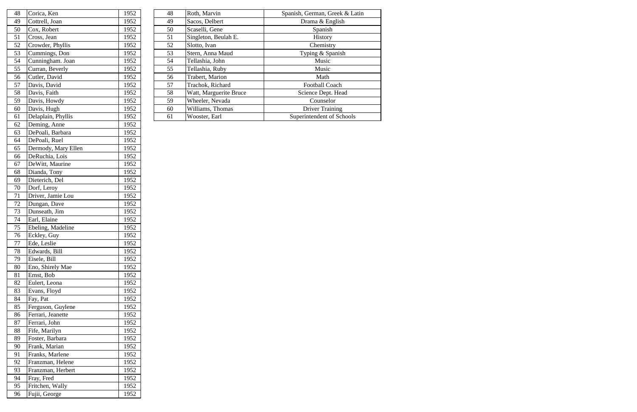| 48 | Corica, Ken        | 1952 | 48 | Roth, Marvin           | Spanish, German, Greek & Latin |
|----|--------------------|------|----|------------------------|--------------------------------|
| 49 | Cottrell, Joan     | 1952 | 49 | Sacos, Delbert         | Drama & English                |
| 50 | Cox, Robert        | 1952 | 50 | Scaselli, Gene         | Spanish                        |
| 51 | Cross, Jean        | 1952 | 51 | Singleton, Beulah E.   | History                        |
| 52 | Crowder, Phyllis   | 1952 | 52 | Slotto, Ivan           | Chemistry                      |
| 53 | Cummings, Don      | 1952 | 53 | Stern, Anna Maud       | Typing & Spanish               |
| 54 | Cunningham. Joan   | 1952 | 54 | Tellashia, John        | Music                          |
| 55 | Curran, Beverly    | 1952 | 55 | Tellashia, Ruby        | Music                          |
| 56 | Cutler, David      | 1952 | 56 | Trabert, Marion        | Math                           |
| 57 | Davis, David       | 1952 | 57 | Trachok, Richard       | <b>Football Coach</b>          |
| 58 | Davis, Faith       | 1952 | 58 | Watt, Marguerite Bruce | Science Dept. Head             |
| 59 | Davis, Howdy       | 1952 | 59 | Wheeler, Nevada        | Counselor                      |
| 60 | Davis, Hugh        | 1952 | 60 | Williams, Thomas       | <b>Driver Training</b>         |
| 61 | Delaplain, Phyllis | 1952 | 61 | Wooster, Earl          | Superintendent of Schools      |
|    |                    |      |    |                        |                                |

| 48 | Corica, Ken         | 1952 |
|----|---------------------|------|
| 49 | Cottrell, Joan      | 1952 |
| 50 | Cox, Robert         | 1952 |
| 51 | Cross, Jean         | 1952 |
| 52 | Crowder, Phyllis    | 1952 |
| 53 | Cummings, Don       | 1952 |
| 54 | Cunningham. Joan    | 1952 |
| 55 | Curran, Beverly     | 1952 |
| 56 | Cutler, David       | 1952 |
| 57 | Davis, David        | 1952 |
| 58 | Davis, Faith        | 1952 |
| 59 | Davis, Howdy        | 1952 |
| 60 | Davis, Hugh         | 1952 |
| 61 | Delaplain, Phyllis  | 1952 |
| 62 | Deming, Anne        | 1952 |
| 63 | DePoali, Barbara    | 1952 |
| 64 | DePoali, Ruel       | 1952 |
| 65 | Dermody, Mary Ellen | 1952 |
| 66 | DeRuchia, Lois      | 1952 |
| 67 | DeWitt, Maurine     | 1952 |
| 68 | Dianda, Tony        | 1952 |
| 69 | Dieterich, Del      | 1952 |
| 70 | Dorf, Leroy         | 1952 |
| 71 | Driver, Jamie Lou   | 1952 |
| 72 | Dungan, Dave        | 1952 |
| 73 | Dunseath, Jim       | 1952 |
| 74 | Earl, Elaine        | 1952 |
| 75 | Ebeling, Madeline   | 1952 |
| 76 | Eckley, Guy         | 1952 |
| 77 | Ede, Leslie         | 1952 |
| 78 | Edwards, Bill       | 1952 |
| 79 | Eisele, Bill        | 1952 |
| 80 | Eno, Shirely Mae    | 1952 |
| 81 | Ernst, Bob          | 1952 |
| 82 | Eulert, Leona       | 1952 |
| 83 | Evans, Floyd        | 1952 |
| 84 | Fay, Pat            | 1952 |
| 85 | Ferguson, Guylene   | 1952 |
| 86 | Ferrari, Jeanette   | 1952 |
| 87 | Ferrari, John       | 1952 |
| 88 | Fife, Marilyn       | 1952 |
| 89 | Foster, Barbara     | 1952 |
| 90 | Frank, Marian       | 1952 |
| 91 | Franks, Marlene     | 1952 |
| 92 | Franzman, Helene    | 1952 |
| 93 | Franzman, Herbert   | 1952 |
| 94 | Fray, Fred          | 1952 |
| 95 | Fritchen, Wally     | 1952 |
| 96 | Fujii, George       | 1952 |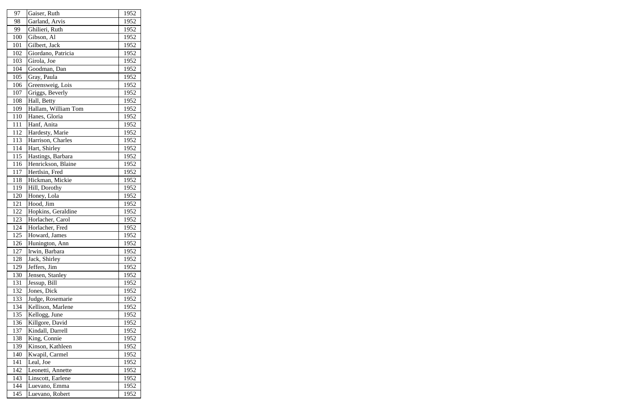| 97  | Gaiser, Ruth        | 1952 |
|-----|---------------------|------|
| 98  | Garland, Arvis      | 1952 |
| 99  | Ghilieri, Ruth      | 1952 |
| 100 | Gibson, Al          | 1952 |
| 101 | Gilbert, Jack       | 1952 |
| 102 | Giordano, Patricia  | 1952 |
| 103 | Girola, Joe         | 1952 |
| 104 | Goodman, Dan        | 1952 |
| 105 | Gray, Paula         | 1952 |
| 106 | Greensweig, Lois    | 1952 |
| 107 | Griggs, Beverly     | 1952 |
| 108 | Hall, Betty         | 1952 |
| 109 | Hallam, William Tom | 1952 |
| 110 | Hanes, Gloria       | 1952 |
| 111 | Hanf, Anita         | 1952 |
| 112 | Hardesty, Marie     | 1952 |
| 113 | Harrison, Charles   | 1952 |
| 114 | Hart, Shirley       | 1952 |
| 115 | Hastings, Barbara   | 1952 |
| 116 | Henrickson, Blaine  | 1952 |
| 117 | Hertlsin, Fred      | 1952 |
| 118 | Hickman, Mickie     | 1952 |
| 119 | Hill, Dorothy       | 1952 |
| 120 | Honey, Lola         | 1952 |
| 121 | Hood, Jim           | 1952 |
| 122 | Hopkins, Geraldine  | 1952 |
| 123 | Horlacher, Carol    | 1952 |
| 124 | Horlacher, Fred     | 1952 |
| 125 | Howard, James       | 1952 |
| 126 | Hunington, Ann      | 1952 |
| 127 | Irwin, Barbara      | 1952 |
| 128 | Jack, Shirley       | 1952 |
| 129 | Jeffers, Jim        | 1952 |
| 130 | Jensen, Stanley     | 1952 |
| 131 | Jessup, Bill        | 1952 |
| 132 | Jones, Dick         | 1952 |
| 133 | Judge, Rosemarie    | 1952 |
| 134 | Kellison, Marlene   | 1952 |
| 135 | Kellogg, June       | 1952 |
| 136 | Killgore, David     | 1952 |
| 137 | Kindall, Darrell    | 1952 |
| 138 | King, Connie        | 1952 |
| 139 | Kinson, Kathleen    | 1952 |
| 140 | Kwapil, Carmel      | 1952 |
| 141 | Leal, Joe           | 1952 |
| 142 | Leonetti, Annette   | 1952 |
| 143 | Linscott, Earlene   | 1952 |
| 144 | Luevano, Emma       | 1952 |
| 145 | Luevano, Robert     | 1952 |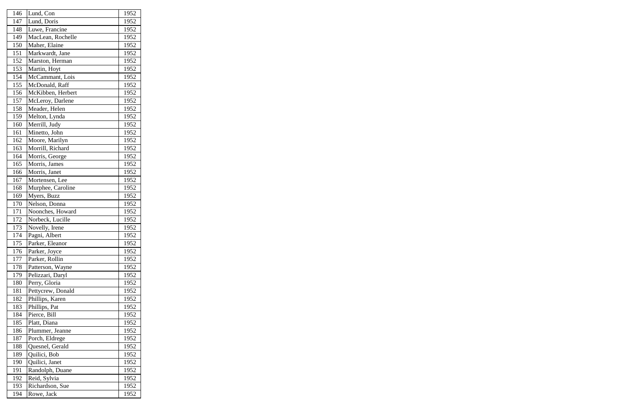| 146 | Lund, Con         | 1952 |
|-----|-------------------|------|
| 147 | Lund, Doris       | 1952 |
| 148 | Luwe, Francine    | 1952 |
| 149 | MacLean, Rochelle | 1952 |
| 150 | Maher, Elaine     | 1952 |
| 151 | Markwardt, Jane   | 1952 |
| 152 | Marston, Herman   | 1952 |
| 153 | Martin, Hoyt      | 1952 |
| 154 | McCammant, Lois   | 1952 |
| 155 | McDonald, Raff    | 1952 |
| 156 | McKibben, Herbert | 1952 |
| 157 | McLeroy, Darlene  | 1952 |
| 158 | Meader, Helen     | 1952 |
| 159 | Melton, Lynda     | 1952 |
| 160 | Merrill, Judy     | 1952 |
| 161 | Minetto, John     | 1952 |
| 162 | Moore, Marilyn    | 1952 |
| 163 | Morrill, Richard  | 1952 |
| 164 | Morris, George    | 1952 |
| 165 | Morris, James     | 1952 |
| 166 | Morris, Janet     | 1952 |
| 167 | Mortensen, Lee    | 1952 |
| 168 | Murphee, Caroline | 1952 |
| 169 | Myers, Buzz       | 1952 |
| 170 | Nelson, Donna     | 1952 |
| 171 | Noonches, Howard  | 1952 |
| 172 | Norbeck, Lucille  | 1952 |
| 173 | Novelly, Irene    | 1952 |
| 174 | Pagni, Albert     | 1952 |
| 175 | Parker, Eleanor   | 1952 |
| 176 | Parker, Joyce     | 1952 |
| 177 | Parker, Rollin    | 1952 |
| 178 | Patterson, Wayne  | 1952 |
| 179 | Pelizzari, Daryl  | 1952 |
| 180 | Perry, Gloria     | 1952 |
| 181 | Pettycrew, Donald | 1952 |
| 182 | Phillips, Karen   | 1952 |
| 183 | Phillips, Pat     | 1952 |
| 184 | Pierce, Bill      | 1952 |
| 185 | Platt, Diana      | 1952 |
| 186 | Plummer, Jeanne   | 1952 |
| 187 | Porch, Eldrege    | 1952 |
| 188 | Quesnel, Gerald   | 1952 |
| 189 | Quilici, Bob      | 1952 |
| 190 | Quilici, Janet    | 1952 |
| 191 | Randolph, Duane   | 1952 |
| 192 | Reid, Sylvia      | 1952 |
| 193 | Richardson, Sue   | 1952 |
| 194 | Rowe, Jack        | 1952 |
|     |                   |      |